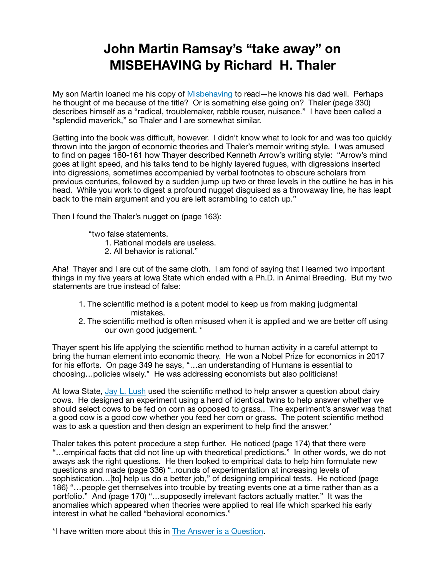## **John Martin Ramsay's "take away" on [MISBEHAVING by Richard H. Thaler](https://www.amazon.com/Misbehaving-Behavioral-Economics-Richard-Thaler/dp/039335279X/ref=sr_1_1?ie=UTF8&qid=1531962534&sr=8-1&keywords=misbehaving+by+Richard+Thaler&dpID=41rywvF7HOL&preST=_SY291_BO1,204,203,200_QL40_&dpSrc=srch)**

My son Martin loaned me his copy of [Misbehaving](https://www.amazon.com/Misbehaving-Behavioral-Economics-Richard-Thaler/dp/039335279X/ref=sr_1_1?ie=UTF8&qid=1531962534&sr=8-1&keywords=misbehaving+by+Richard+Thaler&dpID=41rywvF7HOL&preST=_SY291_BO1,204,203,200_QL40_&dpSrc=srch) to read—he knows his dad well. Perhaps he thought of me because of the title? Or is something else going on? Thaler (page 330) describes himself as a "radical, troublemaker, rabble rouser, nuisance." I have been called a "splendid maverick," so Thaler and I are somewhat similar.

Getting into the book was difficult, however. I didn't know what to look for and was too quickly thrown into the jargon of economic theories and Thaler's memoir writing style. I was amused to find on pages 160-161 how Thayer described Kenneth Arrow's writing style: "Arrow's mind goes at light speed, and his talks tend to be highly layered fugues, with digressions inserted into digressions, sometimes accompanied by verbal footnotes to obscure scholars from previous centuries, followed by a sudden jump up two or three levels in the outline he has in his head. While you work to digest a profound nugget disquised as a throwaway line, he has leapt back to the main argument and you are left scrambling to catch up."

Then I found the Thaler's nugget on (page 163):

"two false statements.

- 1. Rational models are useless.
- 2. All behavior is rational."

Aha! Thayer and I are cut of the same cloth. I am fond of saying that I learned two important things in my five years at Iowa State which ended with a Ph.D. in Animal Breeding. But my two statements are true instead of false:

- 1. The scientific method is a potent model to keep us from making judgmental mistakes.
- 2. The scientific method is often misused when it is applied and we are better off using our own good judgement. \*

Thayer spent his life applying the scientific method to human activity in a careful attempt to bring the human element into economic theory. He won a Nobel Prize for economics in 2017 for his efforts. On page 349 he says, "…an understanding of Humans is essential to choosing…policies wisely." He was addressing economists but also politicians!

At Iowa State, [Jay L. Lush](https://en.wikipedia.org/wiki/Jay_Laurence_Lush) used the scientific method to help answer a question about dairy cows. He designed an experiment using a herd of identical twins to help answer whether we should select cows to be fed on corn as opposed to grass.. The experiment's answer was that a good cow is a good cow whether you feed her corn or grass. The potent scientific method was to ask a question and then design an experiment to help find the answer.\*

Thaler takes this potent procedure a step further. He noticed (page 174) that there were "…empirical facts that did not line up with theoretical predictions." In other words, we do not aways ask the right questions. He then looked to empirical data to help him formulate new questions and made (page 336) "..rounds of experimentation at increasing levels of sophistication…[to] help us do a better job," of designing empirical tests. He noticed (page 186) "…people get themselves into trouble by treating events one at a time rather than as a portfolio." And (page 170) "…supposedly irrelevant factors actually matter." It was the anomalies which appeared when theories were applied to real life which sparked his early interest in what he called "behavioral economics."

\*I have written more about this in [The Answer is a Question.](https://www.shareinprint.com/serious-subjects)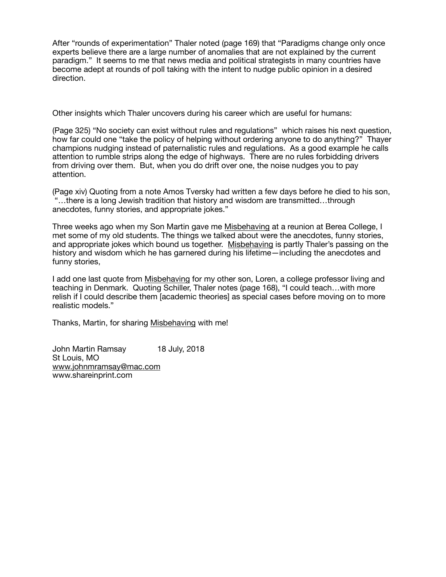After "rounds of experimentation" Thaler noted (page 169) that "Paradigms change only once experts believe there are a large number of anomalies that are not explained by the current paradigm." It seems to me that news media and political strategists in many countries have become adept at rounds of poll taking with the intent to nudge public opinion in a desired direction.

Other insights which Thaler uncovers during his career which are useful for humans:

(Page 325) "No society can exist without rules and regulations" which raises his next question, how far could one "take the policy of helping without ordering anyone to do anything?" Thayer champions nudging instead of paternalistic rules and regulations. As a good example he calls attention to rumble strips along the edge of highways. There are no rules forbidding drivers from driving over them. But, when you do drift over one, the noise nudges you to pay attention.

(Page xiv) Quoting from a note Amos Tversky had written a few days before he died to his son, "…there is a long Jewish tradition that history and wisdom are transmitted…through anecdotes, funny stories, and appropriate jokes."

Three weeks ago when my Son Martin gave me Misbehaving at a reunion at Berea College, I met some of my old students. The things we talked about were the anecdotes, funny stories, and appropriate jokes which bound us together. Misbehaving is partly Thaler's passing on the history and wisdom which he has garnered during his lifetime—including the anecdotes and funny stories,

I add one last quote from Misbehaving for my other son, Loren, a college professor living and teaching in Denmark. Quoting Schiller, Thaler notes (page 168), "I could teach…with more relish if I could describe them [academic theories] as special cases before moving on to more realistic models."

Thanks, Martin, for sharing Misbehaving with me!

John Martin Ramsay 18 July, 2018 St Louis, MO [www.johnmramsay@mac.com](mailto:www.johnmramsay@mac.com) www.shareinprint.com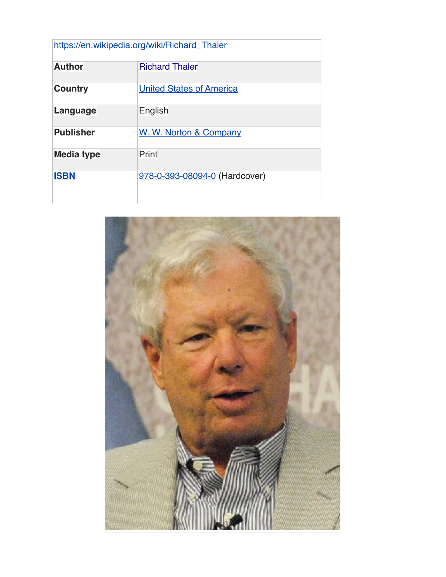| https://en.wikipedia.org/wiki/Richard_Thaler |                                 |
|----------------------------------------------|---------------------------------|
| <b>Author</b>                                | <b>Richard Thaler</b>           |
| <b>Country</b>                               | <b>United States of America</b> |
| Language                                     | English                         |
| <b>Publisher</b>                             | W. W. Norton & Company          |
| Media type                                   | Print                           |
| <b>ISBN</b>                                  | 978-0-393-08094-0 (Hardcover)   |